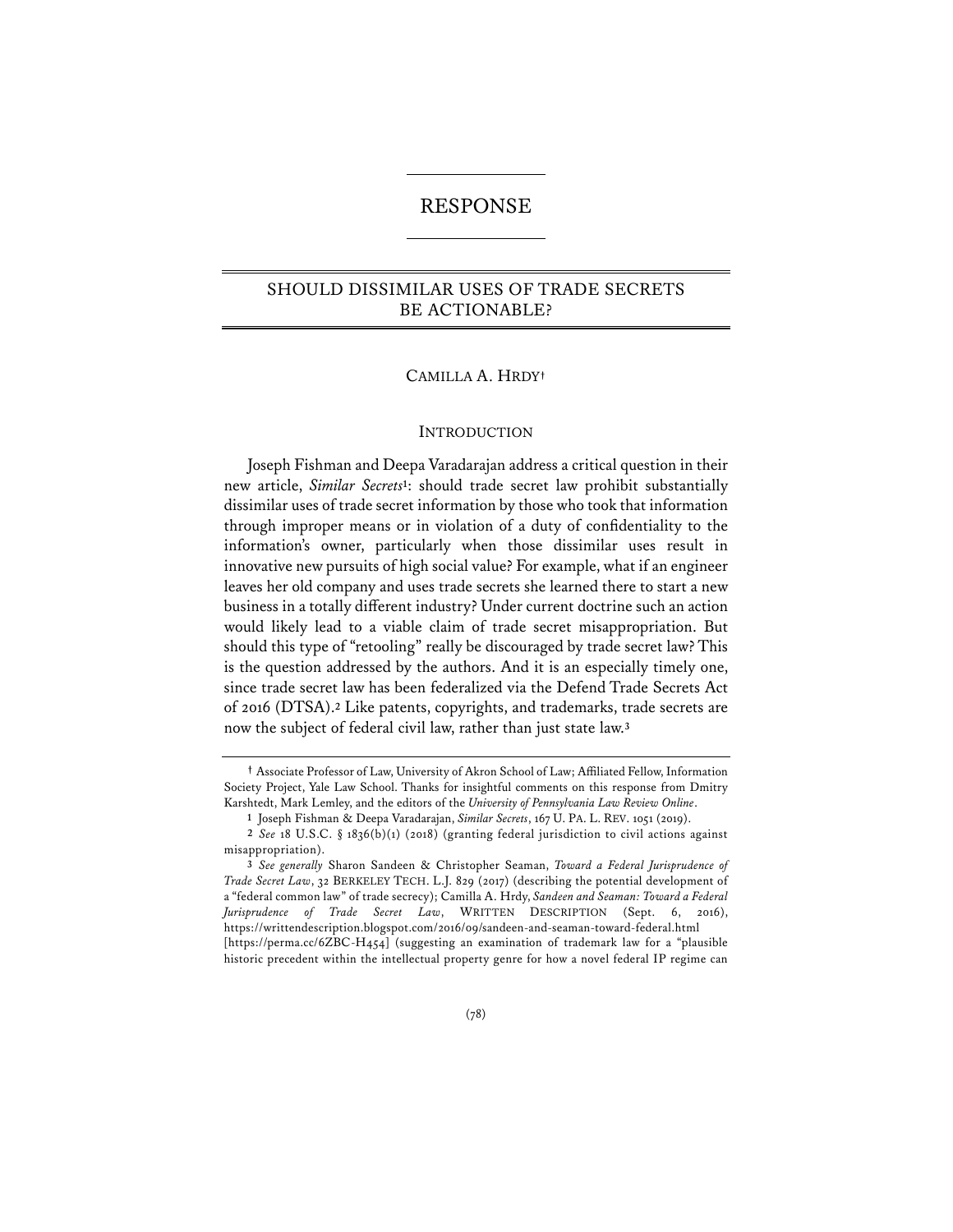# RESPONSE

# SHOULD DISSIMILAR USES OF TRADE SECRETS BE ACTIONABLE?

### CAMILLA A. HRDY**†**

#### INTRODUCTION

Joseph Fishman and Deepa Varadarajan address a critical question in their new article, *Similar Secrets***1**: should trade secret law prohibit substantially dissimilar uses of trade secret information by those who took that information through improper means or in violation of a duty of confidentiality to the information's owner, particularly when those dissimilar uses result in innovative new pursuits of high social value? For example, what if an engineer leaves her old company and uses trade secrets she learned there to start a new business in a totally different industry? Under current doctrine such an action would likely lead to a viable claim of trade secret misappropriation. But should this type of "retooling" really be discouraged by trade secret law? This is the question addressed by the authors. And it is an especially timely one, since trade secret law has been federalized via the Defend Trade Secrets Act of 2016 (DTSA).**<sup>2</sup>** Like patents, copyrights, and trademarks, trade secrets are now the subject of federal civil law, rather than just state law.**<sup>3</sup>**

**<sup>†</sup>** Associate Professor of Law, University of Akron School of Law; Affiliated Fellow, Information Society Project, Yale Law School. Thanks for insightful comments on this response from Dmitry Karshtedt, Mark Lemley, and the editors of the *University of Pennsylvania Law Review Online*.

**<sup>1</sup>** Joseph Fishman & Deepa Varadarajan, *Similar Secrets*, 167 U. PA. L. REV. 1051 (2019).

**<sup>2</sup>** *See* 18 U.S.C. § 1836(b)(1) (2018) (granting federal jurisdiction to civil actions against misappropriation).

**<sup>3</sup>** *See generally* Sharon Sandeen & Christopher Seaman, *Toward a Federal Jurisprudence of Trade Secret Law*, 32 BERKELEY TECH. L.J. 829 (2017) (describing the potential development of a "federal common law" of trade secrecy); Camilla A. Hrdy, *Sandeen and Seaman: Toward a Federal Jurisprudence of Trade Secret Law*, WRITTEN DESCRIPTION (Sept. 6, 2016), https://writtendescription.blogspot.com/2016/09/sandeen-and-seaman-toward-federal.html [https://perma.cc/6ZBC-H454] (suggesting an examination of trademark law for a "plausible historic precedent within the intellectual property genre for how a novel federal IP regime can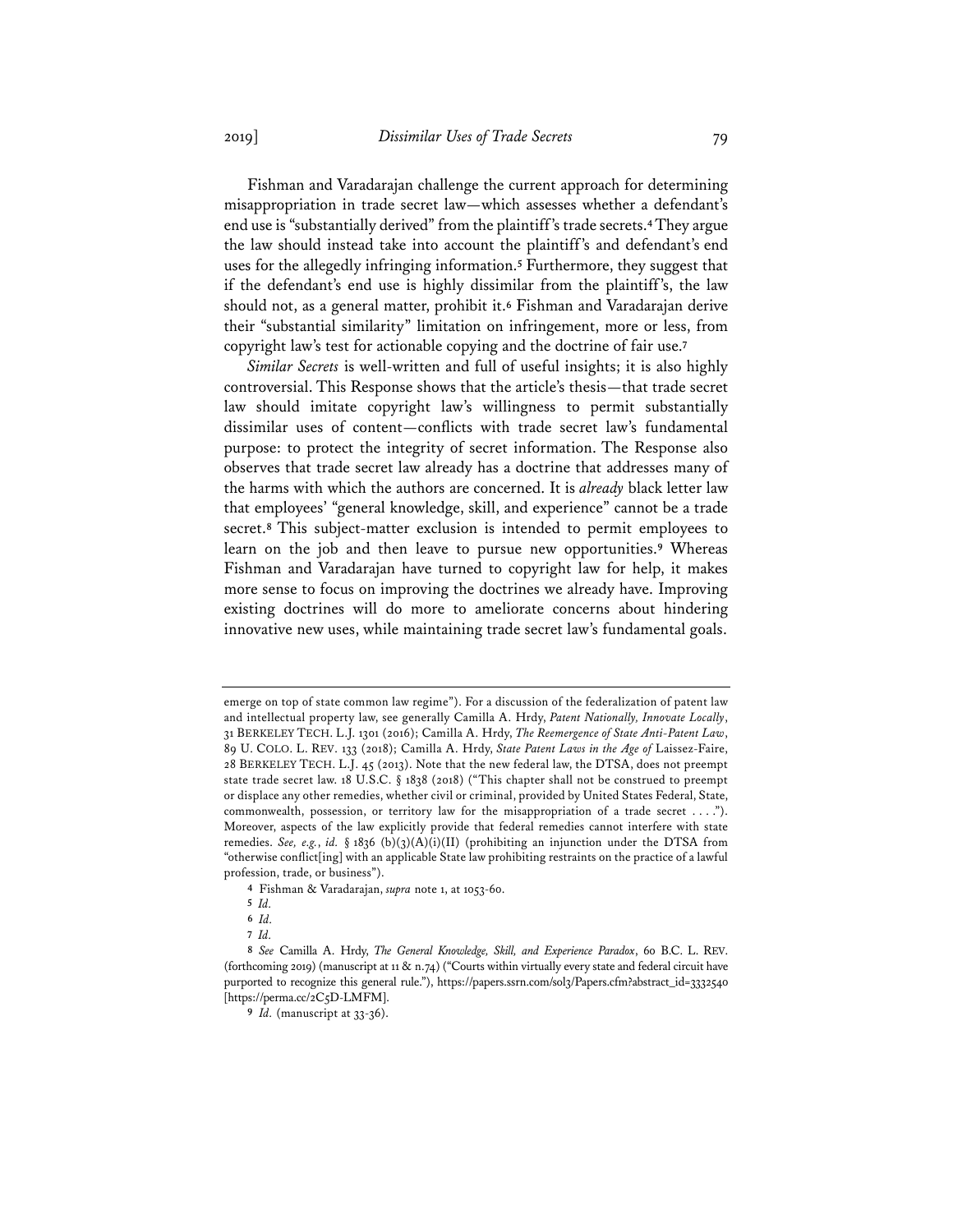Fishman and Varadarajan challenge the current approach for determining misappropriation in trade secret law—which assesses whether a defendant's end use is "substantially derived" from the plaintiff's trade secrets.**4**They argue the law should instead take into account the plaintiff's and defendant's end uses for the allegedly infringing information.**<sup>5</sup>** Furthermore, they suggest that if the defendant's end use is highly dissimilar from the plaintiff's, the law should not, as a general matter, prohibit it.**<sup>6</sup>** Fishman and Varadarajan derive their "substantial similarity" limitation on infringement, more or less, from copyright law's test for actionable copying and the doctrine of fair use.**<sup>7</sup>**

*Similar Secrets* is well-written and full of useful insights; it is also highly controversial. This Response shows that the article's thesis—that trade secret law should imitate copyright law's willingness to permit substantially dissimilar uses of content—conflicts with trade secret law's fundamental purpose: to protect the integrity of secret information. The Response also observes that trade secret law already has a doctrine that addresses many of the harms with which the authors are concerned. It is *already* black letter law that employees' "general knowledge, skill, and experience" cannot be a trade secret.**<sup>8</sup>** This subject-matter exclusion is intended to permit employees to learn on the job and then leave to pursue new opportunities.**<sup>9</sup>** Whereas Fishman and Varadarajan have turned to copyright law for help, it makes more sense to focus on improving the doctrines we already have. Improving existing doctrines will do more to ameliorate concerns about hindering innovative new uses, while maintaining trade secret law's fundamental goals.

emerge on top of state common law regime"). For a discussion of the federalization of patent law and intellectual property law, see generally Camilla A. Hrdy, *Patent Nationally, Innovate Locally*, 31 BERKELEY TECH. L.J. 1301 (2016); Camilla A. Hrdy, *The Reemergence of State Anti-Patent Law*, 89 U. COLO. L. REV. 133 (2018); Camilla A. Hrdy, *State Patent Laws in the Age of* Laissez-Faire, 28 BERKELEY TECH. L.J. 45 (2013). Note that the new federal law, the DTSA, does not preempt state trade secret law. 18 U.S.C. § 1838 (2018) ("This chapter shall not be construed to preempt or displace any other remedies, whether civil or criminal, provided by United States Federal, State, commonwealth, possession, or territory law for the misappropriation of a trade secret . . . ."). Moreover, aspects of the law explicitly provide that federal remedies cannot interfere with state remedies. *See, e.g., id.* § 1836 (b)(3)(A)(i)(II) (prohibiting an injunction under the DTSA from "otherwise conflict[ing] with an applicable State law prohibiting restraints on the practice of a lawful profession, trade, or business").

**<sup>4</sup>** Fishman & Varadarajan, *supra* note 1, at 1053-60.

**<sup>5</sup>** *Id.*

**<sup>6</sup>** *Id.*

**<sup>7</sup>** *Id.*

**<sup>8</sup>** *See* Camilla A. Hrdy, *The General Knowledge, Skill, and Experience Paradox*, 60 B.C. L. REV. (forthcoming 2019) (manuscript at 11 & n.74) ("Courts within virtually every state and federal circuit have purported to recognize this general rule."), https://papers.ssrn.com/sol3/Papers.cfm?abstract\_id=3332540 [https://perma.cc/2C5D-LMFM].

**<sup>9</sup>** *Id.* (manuscript at 33-36).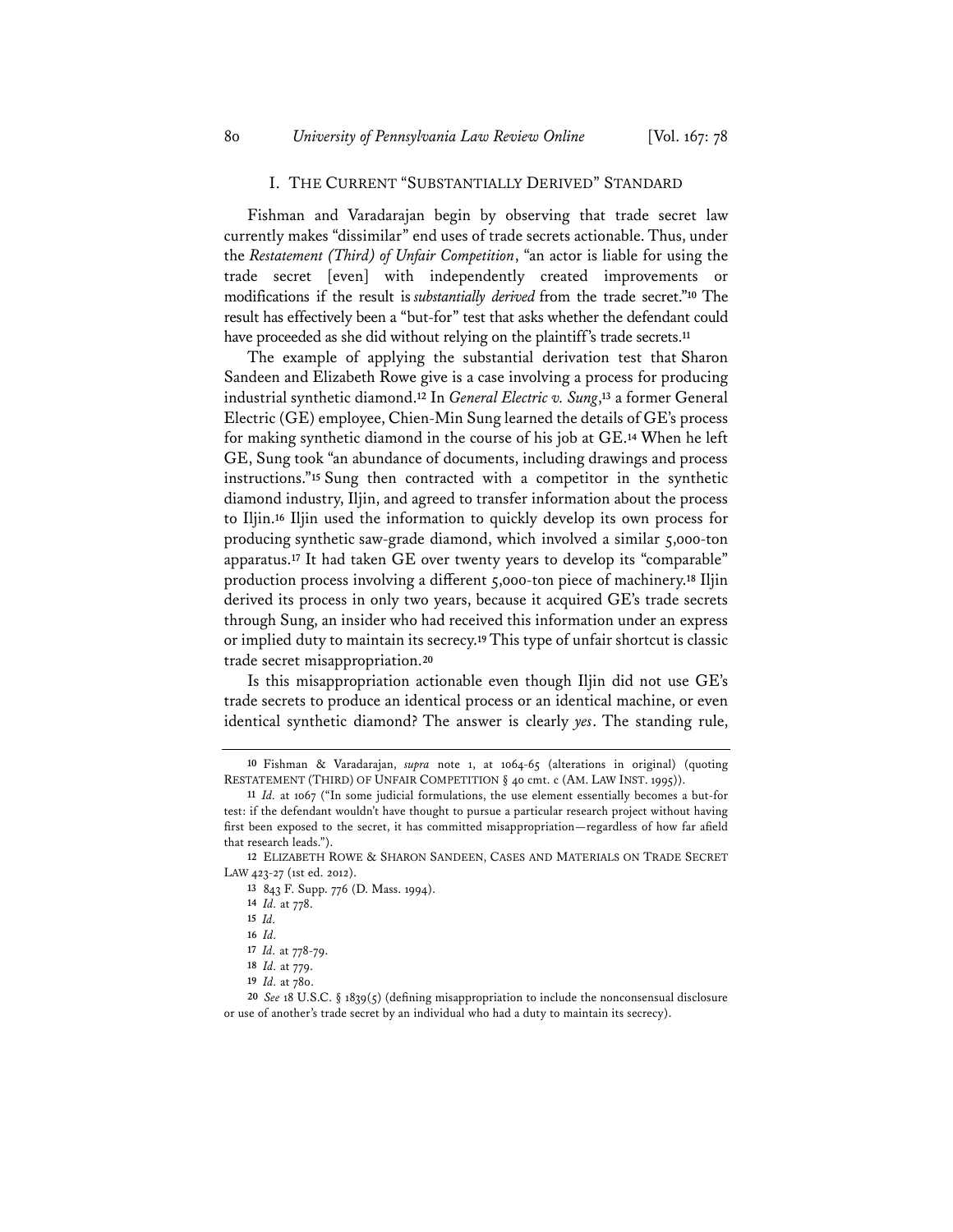#### I. THE CURRENT "SUBSTANTIALLY DERIVED" STANDARD

Fishman and Varadarajan begin by observing that trade secret law currently makes "dissimilar" end uses of trade secrets actionable. Thus, under the *Restatement (Third) of Unfair Competition*, "an actor is liable for using the trade secret [even] with independently created improvements or modifications if the result is *substantially derived* from the trade secret."**<sup>10</sup>** The result has effectively been a "but-for" test that asks whether the defendant could have proceeded as she did without relying on the plaintiff's trade secrets.**<sup>11</sup>**

The example of applying the substantial derivation test that Sharon Sandeen and Elizabeth Rowe give is a case involving a process for producing industrial synthetic diamond.**<sup>12</sup>** In *General Electric v. Sung*,**<sup>13</sup>** a former General Electric (GE) employee, Chien-Min Sung learned the details of GE's process for making synthetic diamond in the course of his job at GE.**<sup>14</sup>** When he left GE, Sung took "an abundance of documents, including drawings and process instructions."**<sup>15</sup>** Sung then contracted with a competitor in the synthetic diamond industry, Iljin, and agreed to transfer information about the process to Iljin.**<sup>16</sup>** Iljin used the information to quickly develop its own process for producing synthetic saw-grade diamond, which involved a similar 5,000-ton apparatus.**<sup>17</sup>** It had taken GE over twenty years to develop its "comparable" production process involving a different 5,000-ton piece of machinery.**<sup>18</sup>** Iljin derived its process in only two years, because it acquired GE's trade secrets through Sung, an insider who had received this information under an express or implied duty to maintain its secrecy.**<sup>19</sup>** This type of unfair shortcut is classic trade secret misappropriation.**<sup>20</sup>**

Is this misappropriation actionable even though Iljin did not use GE's trade secrets to produce an identical process or an identical machine, or even identical synthetic diamond? The answer is clearly *yes*. The standing rule,

**<sup>10</sup>** Fishman & Varadarajan, *supra* note 1, at 1064-65 (alterations in original) (quoting RESTATEMENT (THIRD) OF UNFAIR COMPETITION § 40 cmt. c (AM. LAW INST. 1995)).

**<sup>11</sup>** *Id.* at 1067 ("In some judicial formulations, the use element essentially becomes a but-for test: if the defendant wouldn't have thought to pursue a particular research project without having first been exposed to the secret, it has committed misappropriation—regardless of how far afield that research leads.").

**<sup>12</sup>** ELIZABETH ROWE & SHARON SANDEEN, CASES AND MATERIALS ON TRADE SECRET LAW 423-27 (1st ed. 2012).

**<sup>13</sup>** 843 F. Supp. 776 (D. Mass. 1994).

**<sup>14</sup>** *Id.* at 778.

**<sup>15</sup>** *Id.*

**<sup>16</sup>** *Id.*

**<sup>17</sup>** *Id.* at 778-79.

**<sup>18</sup>** *Id.* at 779.

**<sup>19</sup>** *Id.* at 780.

**<sup>20</sup>** *See* 18 U.S.C. § 1839(5) (defining misappropriation to include the nonconsensual disclosure or use of another's trade secret by an individual who had a duty to maintain its secrecy).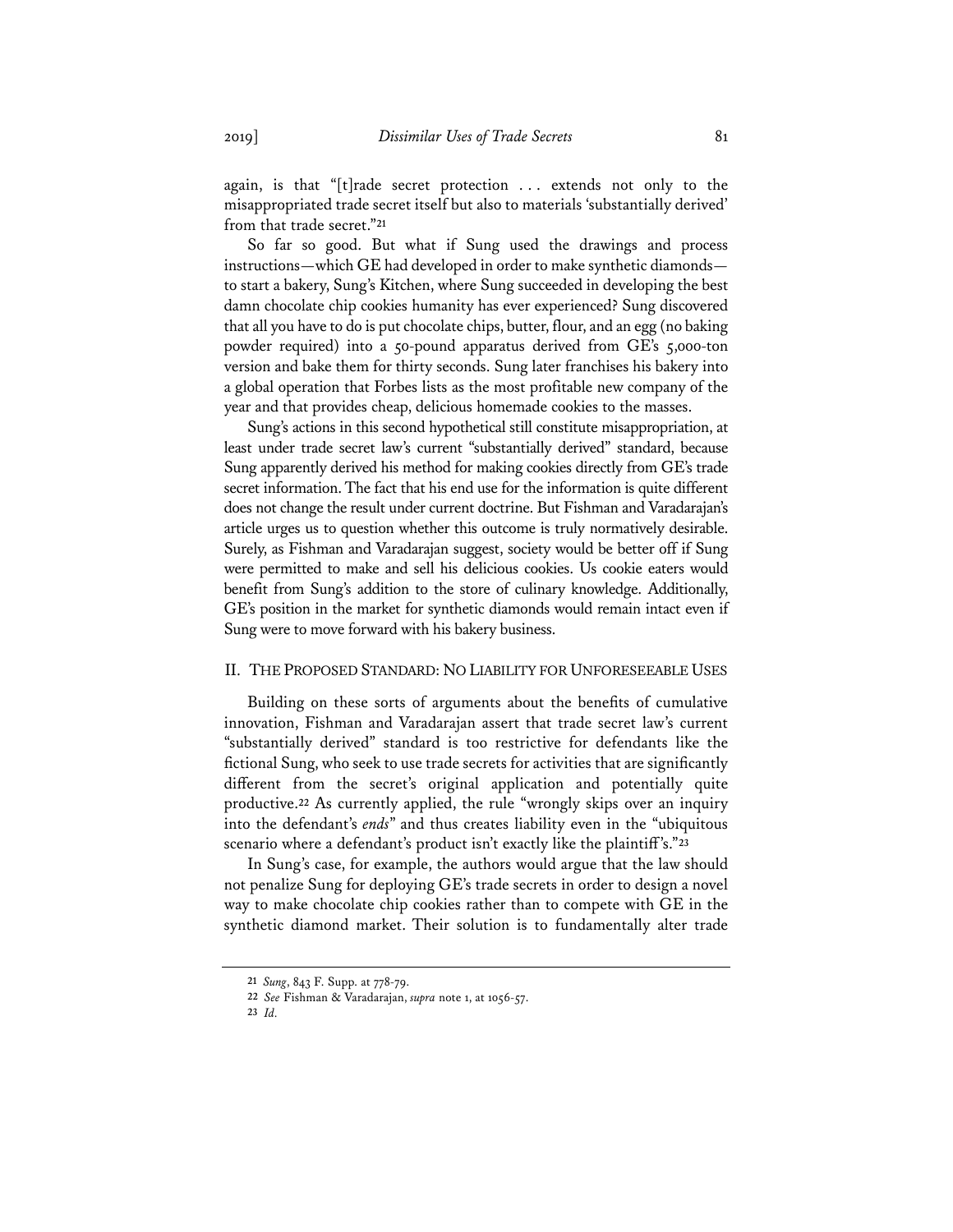again, is that "[t]rade secret protection ... extends not only to the misappropriated trade secret itself but also to materials 'substantially derived' from that trade secret."**<sup>21</sup>**

So far so good. But what if Sung used the drawings and process instructions—which GE had developed in order to make synthetic diamonds to start a bakery, Sung's Kitchen, where Sung succeeded in developing the best damn chocolate chip cookies humanity has ever experienced? Sung discovered that all you have to do is put chocolate chips, butter, flour, and an egg (no baking powder required) into a 50-pound apparatus derived from GE's 5,000-ton version and bake them for thirty seconds. Sung later franchises his bakery into a global operation that Forbes lists as the most profitable new company of the year and that provides cheap, delicious homemade cookies to the masses.

Sung's actions in this second hypothetical still constitute misappropriation, at least under trade secret law's current "substantially derived" standard, because Sung apparently derived his method for making cookies directly from GE's trade secret information. The fact that his end use for the information is quite different does not change the result under current doctrine. But Fishman and Varadarajan's article urges us to question whether this outcome is truly normatively desirable. Surely, as Fishman and Varadarajan suggest, society would be better off if Sung were permitted to make and sell his delicious cookies. Us cookie eaters would benefit from Sung's addition to the store of culinary knowledge. Additionally, GE's position in the market for synthetic diamonds would remain intact even if Sung were to move forward with his bakery business.

## II. THE PROPOSED STANDARD: NO LIABILITY FOR UNFORESEEABLE USES

Building on these sorts of arguments about the benefits of cumulative innovation, Fishman and Varadarajan assert that trade secret law's current "substantially derived" standard is too restrictive for defendants like the fictional Sung, who seek to use trade secrets for activities that are significantly different from the secret's original application and potentially quite productive.**<sup>22</sup>** As currently applied, the rule "wrongly skips over an inquiry into the defendant's *ends*" and thus creates liability even in the "ubiquitous scenario where a defendant's product isn't exactly like the plaintiff's."**<sup>23</sup>**

In Sung's case, for example, the authors would argue that the law should not penalize Sung for deploying GE's trade secrets in order to design a novel way to make chocolate chip cookies rather than to compete with GE in the synthetic diamond market. Their solution is to fundamentally alter trade

**<sup>21</sup>** *Sung*, 843 F. Supp. at 778-79.

**<sup>22</sup>** *See* Fishman & Varadarajan, *supra* note 1, at 1056-57.

**<sup>23</sup>** *Id.*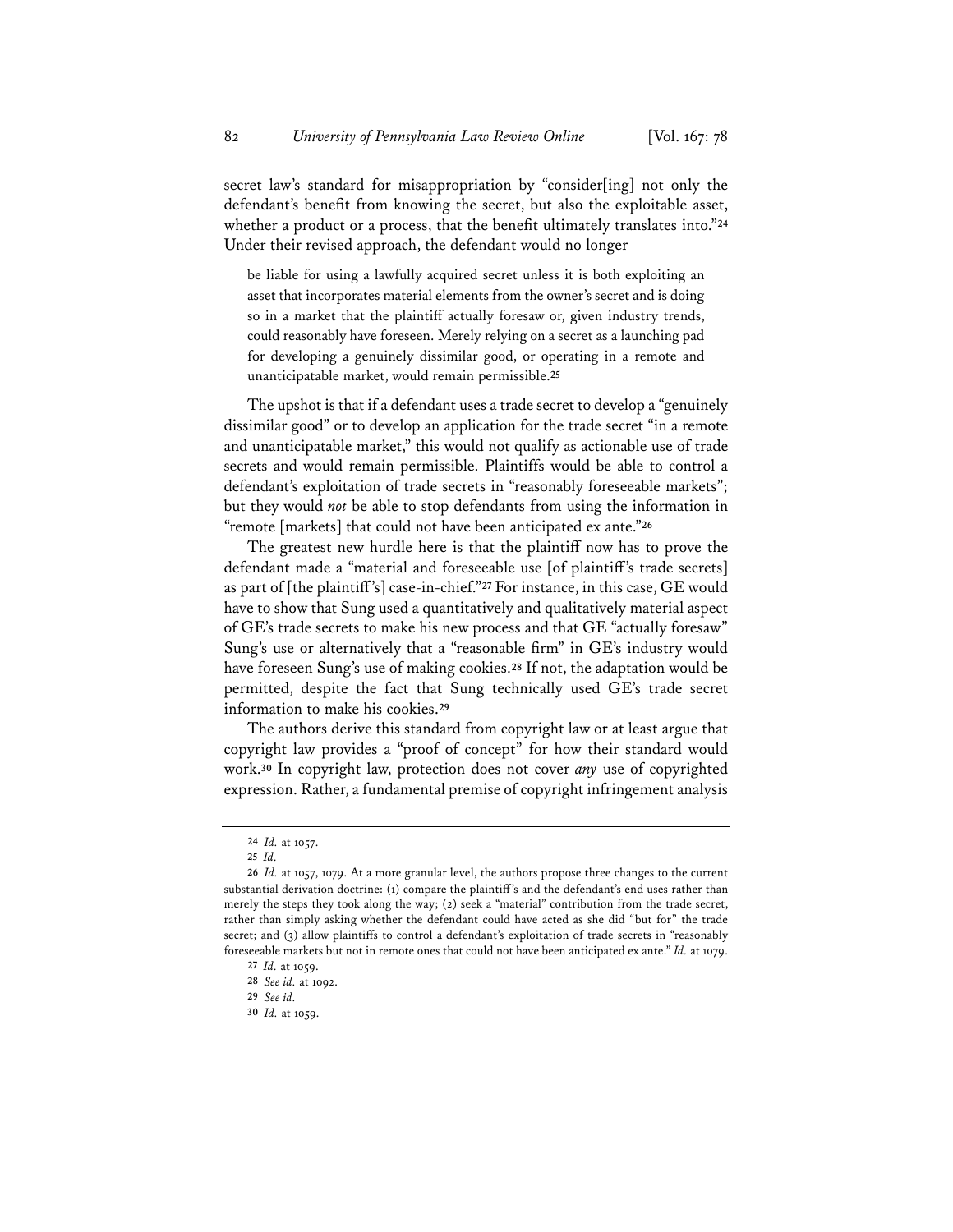secret law's standard for misappropriation by "consider[ing] not only the defendant's benefit from knowing the secret, but also the exploitable asset, whether a product or a process, that the benefit ultimately translates into."**<sup>24</sup>** Under their revised approach, the defendant would no longer

be liable for using a lawfully acquired secret unless it is both exploiting an asset that incorporates material elements from the owner's secret and is doing so in a market that the plaintiff actually foresaw or, given industry trends, could reasonably have foreseen. Merely relying on a secret as a launching pad for developing a genuinely dissimilar good, or operating in a remote and unanticipatable market, would remain permissible.**<sup>25</sup>**

The upshot is that if a defendant uses a trade secret to develop a "genuinely dissimilar good" or to develop an application for the trade secret "in a remote and unanticipatable market," this would not qualify as actionable use of trade secrets and would remain permissible. Plaintiffs would be able to control a defendant's exploitation of trade secrets in "reasonably foreseeable markets"; but they would *not* be able to stop defendants from using the information in "remote [markets] that could not have been anticipated ex ante."**<sup>26</sup>**

The greatest new hurdle here is that the plaintiff now has to prove the defendant made a "material and foreseeable use [of plaintiff's trade secrets] as part of [the plaintiff's] case-in-chief."**<sup>27</sup>** For instance, in this case, GE would have to show that Sung used a quantitatively and qualitatively material aspect of GE's trade secrets to make his new process and that GE "actually foresaw" Sung's use or alternatively that a "reasonable firm" in GE's industry would have foreseen Sung's use of making cookies.**<sup>28</sup>** If not, the adaptation would be permitted, despite the fact that Sung technically used GE's trade secret information to make his cookies.**<sup>29</sup>**

The authors derive this standard from copyright law or at least argue that copyright law provides a "proof of concept" for how their standard would work.**<sup>30</sup>** In copyright law, protection does not cover *any* use of copyrighted expression. Rather, a fundamental premise of copyright infringement analysis

**<sup>24</sup>** *Id.* at 1057.

**<sup>25</sup>** *Id.*

**<sup>26</sup>** *Id.* at 1057, 1079. At a more granular level, the authors propose three changes to the current substantial derivation doctrine: (1) compare the plaintiff's and the defendant's end uses rather than merely the steps they took along the way; (2) seek a "material" contribution from the trade secret, rather than simply asking whether the defendant could have acted as she did "but for" the trade secret; and (3) allow plaintiffs to control a defendant's exploitation of trade secrets in "reasonably foreseeable markets but not in remote ones that could not have been anticipated ex ante." *Id.* at 1079.

**<sup>27</sup>** *Id.* at 1059.

**<sup>28</sup>** *See id.* at 1092.

**<sup>29</sup>** *See id.*

**<sup>30</sup>** *Id.* at 1059.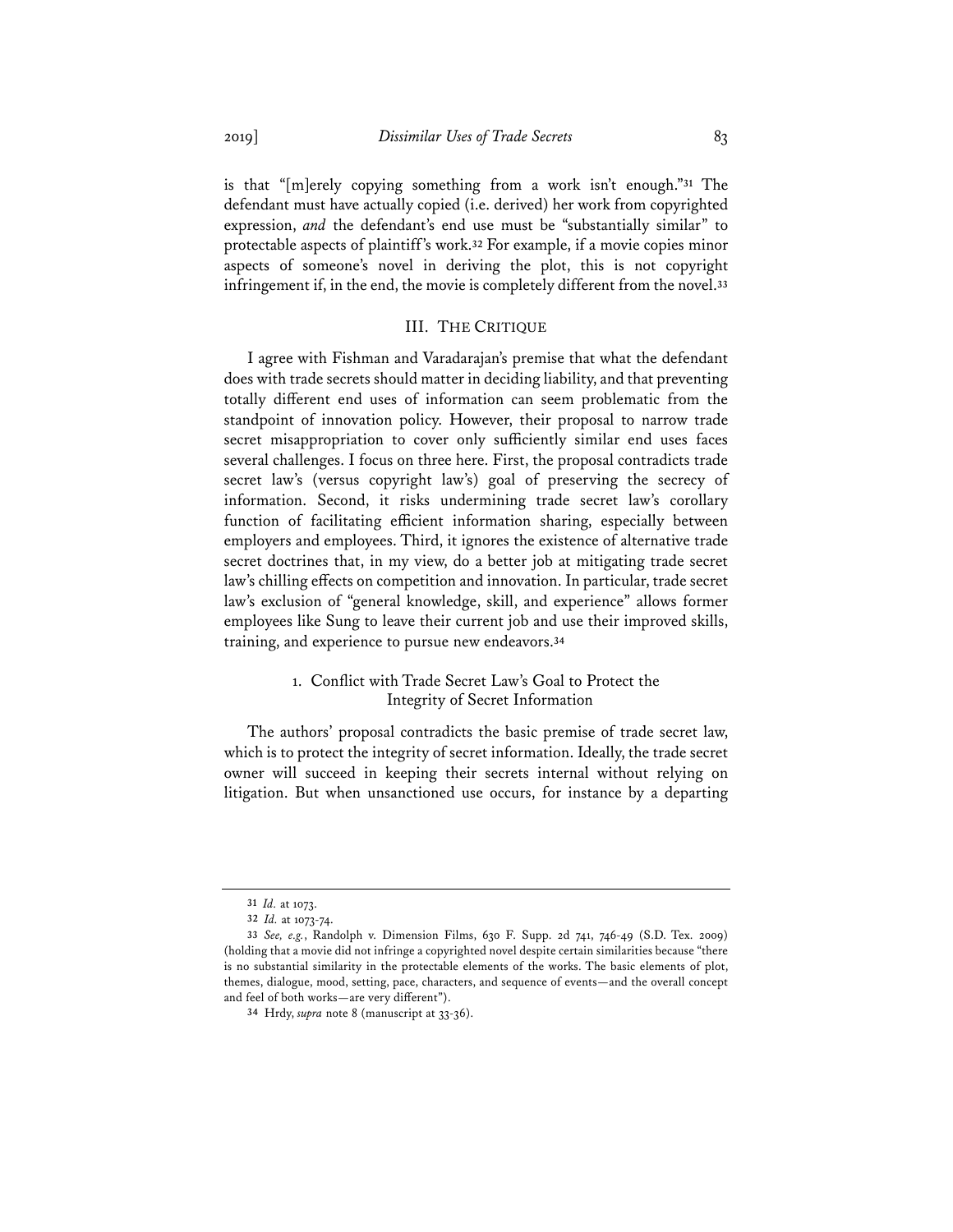is that "[m]erely copying something from a work isn't enough."**<sup>31</sup>** The defendant must have actually copied (i.e. derived) her work from copyrighted expression, *and* the defendant's end use must be "substantially similar" to protectable aspects of plaintiff's work.**<sup>32</sup>** For example, if a movie copies minor aspects of someone's novel in deriving the plot, this is not copyright infringement if, in the end, the movie is completely different from the novel.**<sup>33</sup>**

## III. THE CRITIQUE

I agree with Fishman and Varadarajan's premise that what the defendant does with trade secrets should matter in deciding liability, and that preventing totally different end uses of information can seem problematic from the standpoint of innovation policy. However, their proposal to narrow trade secret misappropriation to cover only sufficiently similar end uses faces several challenges. I focus on three here. First, the proposal contradicts trade secret law's (versus copyright law's) goal of preserving the secrecy of information. Second, it risks undermining trade secret law's corollary function of facilitating efficient information sharing, especially between employers and employees. Third, it ignores the existence of alternative trade secret doctrines that, in my view, do a better job at mitigating trade secret law's chilling effects on competition and innovation. In particular, trade secret law's exclusion of "general knowledge, skill, and experience" allows former employees like Sung to leave their current job and use their improved skills, training, and experience to pursue new endeavors.**<sup>34</sup>**

## 1. Conflict with Trade Secret Law's Goal to Protect the Integrity of Secret Information

The authors' proposal contradicts the basic premise of trade secret law, which is to protect the integrity of secret information. Ideally, the trade secret owner will succeed in keeping their secrets internal without relying on litigation. But when unsanctioned use occurs, for instance by a departing

**<sup>31</sup>** *Id.* at 1073.

**<sup>32</sup>** *Id.* at 1073-74.

**<sup>33</sup>** *See, e.g.*, Randolph v. Dimension Films, 630 F. Supp. 2d 741, 746-49 (S.D. Tex. 2009) (holding that a movie did not infringe a copyrighted novel despite certain similarities because "there is no substantial similarity in the protectable elements of the works. The basic elements of plot, themes, dialogue, mood, setting, pace, characters, and sequence of events—and the overall concept and feel of both works—are very different").

**<sup>34</sup>** Hrdy, *supra* note 8 (manuscript at 33-36).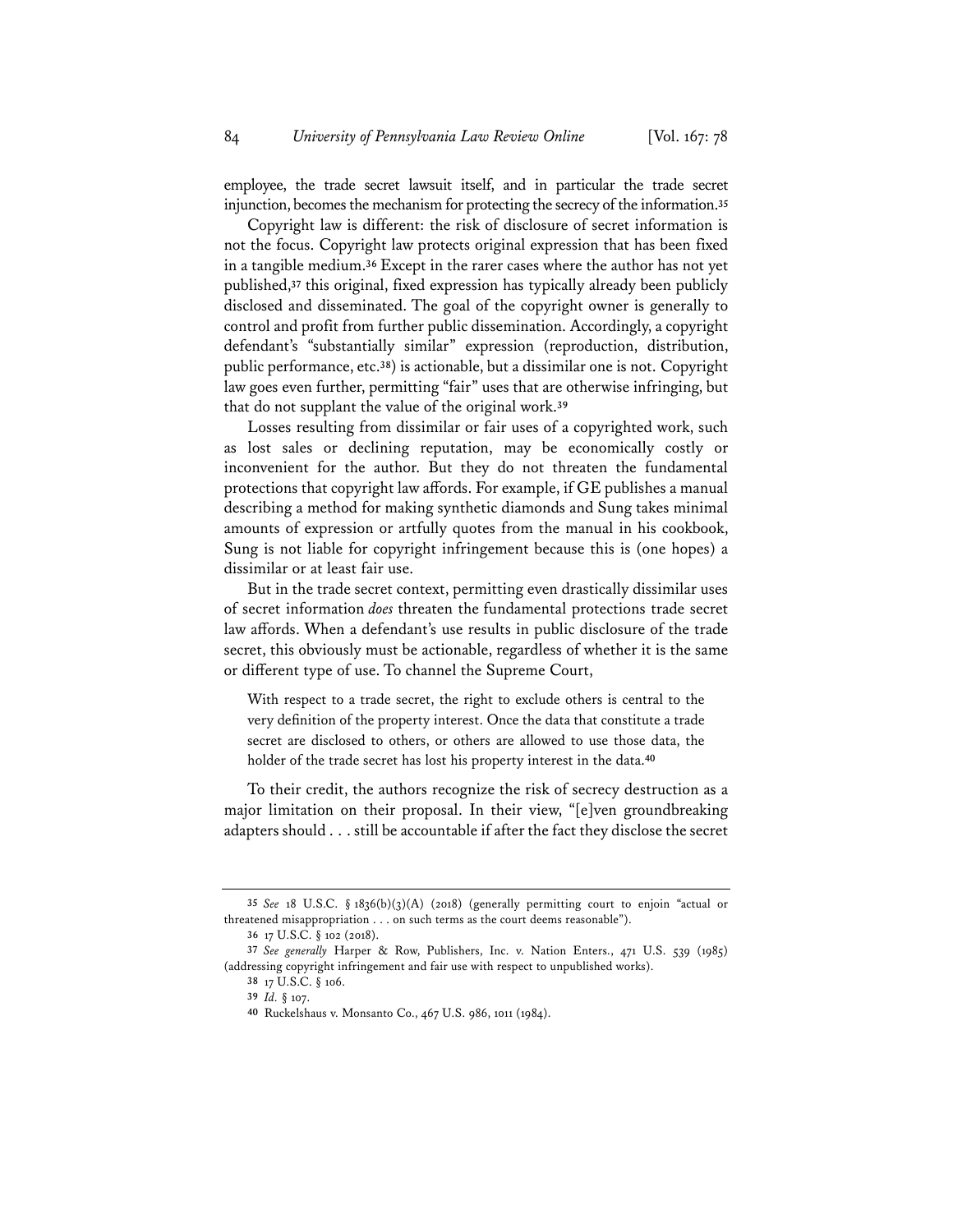employee, the trade secret lawsuit itself, and in particular the trade secret injunction, becomes the mechanism for protecting the secrecy of the information.**<sup>35</sup>**

Copyright law is different: the risk of disclosure of secret information is not the focus. Copyright law protects original expression that has been fixed in a tangible medium.**<sup>36</sup>** Except in the rarer cases where the author has not yet published,**<sup>37</sup>** this original, fixed expression has typically already been publicly disclosed and disseminated. The goal of the copyright owner is generally to control and profit from further public dissemination. Accordingly, a copyright defendant's "substantially similar" expression (reproduction, distribution, public performance, etc.**38**) is actionable, but a dissimilar one is not. Copyright law goes even further, permitting "fair" uses that are otherwise infringing, but that do not supplant the value of the original work.**<sup>39</sup>**

Losses resulting from dissimilar or fair uses of a copyrighted work, such as lost sales or declining reputation, may be economically costly or inconvenient for the author. But they do not threaten the fundamental protections that copyright law affords. For example, if GE publishes a manual describing a method for making synthetic diamonds and Sung takes minimal amounts of expression or artfully quotes from the manual in his cookbook, Sung is not liable for copyright infringement because this is (one hopes) a dissimilar or at least fair use.

But in the trade secret context, permitting even drastically dissimilar uses of secret information *does* threaten the fundamental protections trade secret law affords. When a defendant's use results in public disclosure of the trade secret, this obviously must be actionable, regardless of whether it is the same or different type of use. To channel the Supreme Court,

With respect to a trade secret, the right to exclude others is central to the very definition of the property interest. Once the data that constitute a trade secret are disclosed to others, or others are allowed to use those data, the holder of the trade secret has lost his property interest in the data.**<sup>40</sup>**

To their credit, the authors recognize the risk of secrecy destruction as a major limitation on their proposal. In their view, "[e]ven groundbreaking adapters should . . . still be accountable if after the fact they disclose the secret

**<sup>35</sup>** *See* 18 U.S.C. § 1836(b)(3)(A) (2018) (generally permitting court to enjoin "actual or threatened misappropriation . . . on such terms as the court deems reasonable").

**<sup>36</sup>** 17 U.S.C. § 102 (2018).

**<sup>37</sup>** *See generally* Harper & Row, Publishers, Inc. v. Nation Enters., 471 U.S. 539 (1985) (addressing copyright infringement and fair use with respect to unpublished works).

**<sup>38</sup>** 17 U.S.C. § 106.

**<sup>39</sup>** *Id.* § 107.

**<sup>40</sup>** Ruckelshaus v. Monsanto Co., 467 U.S. 986, 1011 (1984).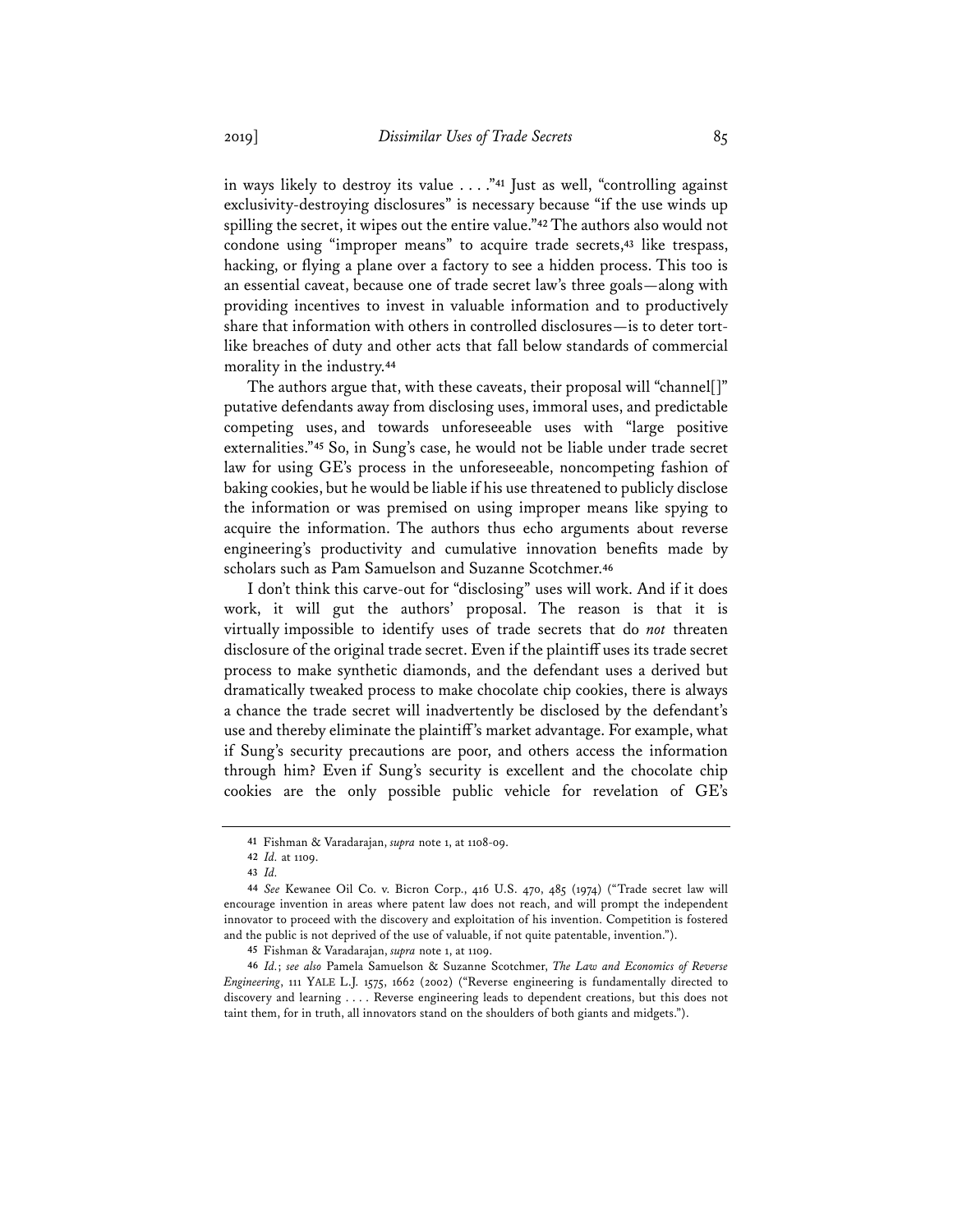in ways likely to destroy its value . . . ."**<sup>41</sup>** Just as well, "controlling against exclusivity-destroying disclosures" is necessary because "if the use winds up spilling the secret, it wipes out the entire value."**<sup>42</sup>** The authors also would not condone using "improper means" to acquire trade secrets,**<sup>43</sup>** like trespass, hacking, or flying a plane over a factory to see a hidden process. This too is an essential caveat, because one of trade secret law's three goals—along with providing incentives to invest in valuable information and to productively share that information with others in controlled disclosures—is to deter tortlike breaches of duty and other acts that fall below standards of commercial morality in the industry.**<sup>44</sup>**

The authors argue that, with these caveats, their proposal will "channel[]" putative defendants away from disclosing uses, immoral uses, and predictable competing uses, and towards unforeseeable uses with "large positive externalities."**<sup>45</sup>** So, in Sung's case, he would not be liable under trade secret law for using GE's process in the unforeseeable, noncompeting fashion of baking cookies, but he would be liable if his use threatened to publicly disclose the information or was premised on using improper means like spying to acquire the information. The authors thus echo arguments about reverse engineering's productivity and cumulative innovation benefits made by scholars such as Pam Samuelson and Suzanne Scotchmer.**<sup>46</sup>**

I don't think this carve-out for "disclosing" uses will work. And if it does work, it will gut the authors' proposal. The reason is that it is virtually impossible to identify uses of trade secrets that do *not* threaten disclosure of the original trade secret. Even if the plaintiff uses its trade secret process to make synthetic diamonds, and the defendant uses a derived but dramatically tweaked process to make chocolate chip cookies, there is always a chance the trade secret will inadvertently be disclosed by the defendant's use and thereby eliminate the plaintiff's market advantage. For example, what if Sung's security precautions are poor, and others access the information through him? Even if Sung's security is excellent and the chocolate chip cookies are the only possible public vehicle for revelation of GE's

**<sup>41</sup>** Fishman & Varadarajan, *supra* note 1, at 1108-09.

**<sup>42</sup>** *Id.* at 1109.

**<sup>43</sup>** *Id.*

**<sup>44</sup>** *See* Kewanee Oil Co. v. Bicron Corp., 416 U.S. 470, 485 (1974) ("Trade secret law will encourage invention in areas where patent law does not reach, and will prompt the independent innovator to proceed with the discovery and exploitation of his invention. Competition is fostered and the public is not deprived of the use of valuable, if not quite patentable, invention.").

**<sup>45</sup>** Fishman & Varadarajan, *supra* note 1, at 1109.

**<sup>46</sup>** *Id.*; *see also* Pamela Samuelson & Suzanne Scotchmer, *The Law and Economics of Reverse Engineering*, 111 YALE L.J. 1575, 1662 (2002) ("Reverse engineering is fundamentally directed to discovery and learning . . . . Reverse engineering leads to dependent creations, but this does not taint them, for in truth, all innovators stand on the shoulders of both giants and midgets.").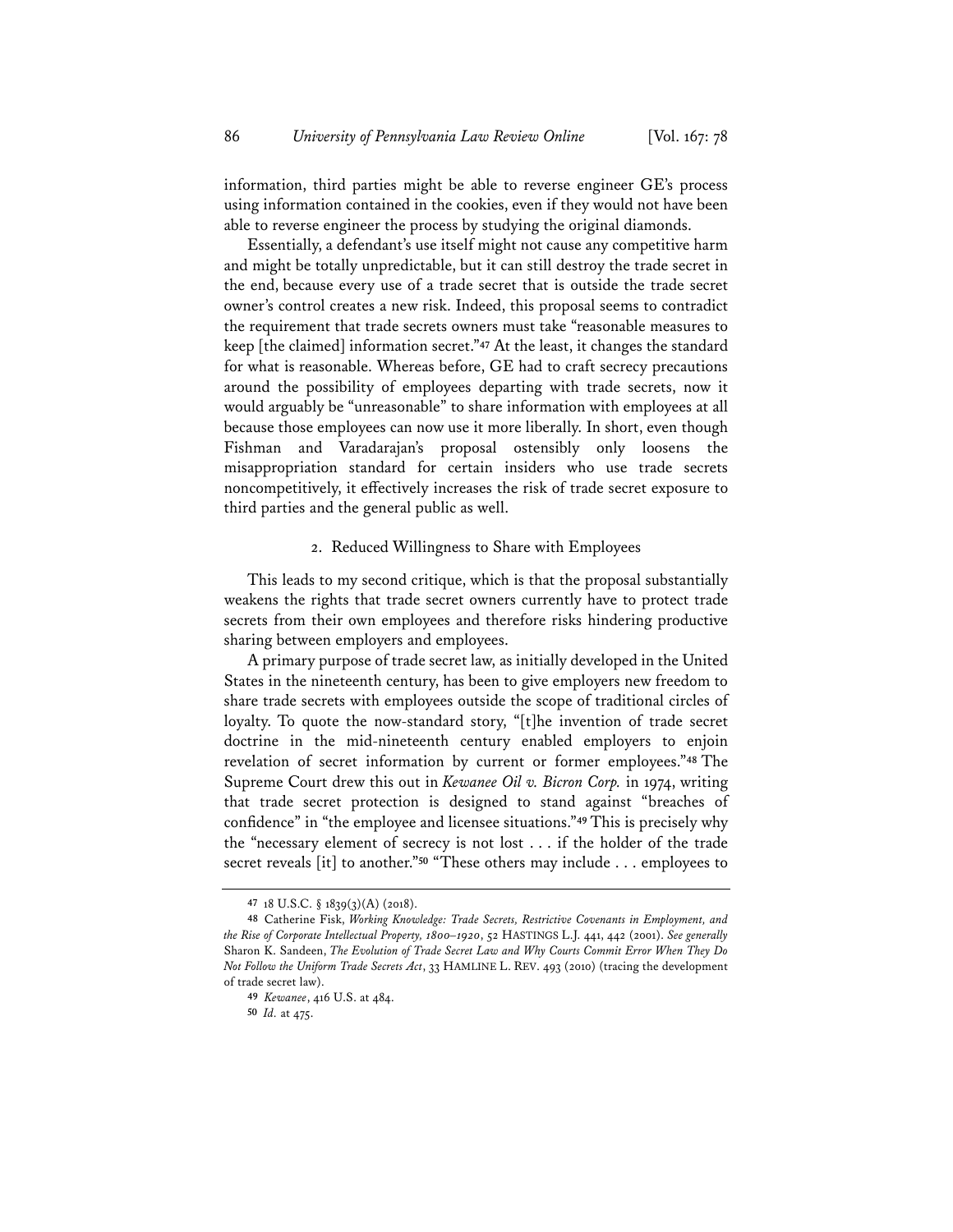information, third parties might be able to reverse engineer GE's process using information contained in the cookies, even if they would not have been able to reverse engineer the process by studying the original diamonds.

Essentially, a defendant's use itself might not cause any competitive harm and might be totally unpredictable, but it can still destroy the trade secret in the end, because every use of a trade secret that is outside the trade secret owner's control creates a new risk. Indeed, this proposal seems to contradict the requirement that trade secrets owners must take "reasonable measures to keep [the claimed] information secret."**<sup>47</sup>** At the least, it changes the standard for what is reasonable. Whereas before, GE had to craft secrecy precautions around the possibility of employees departing with trade secrets, now it would arguably be "unreasonable" to share information with employees at all because those employees can now use it more liberally. In short, even though Fishman and Varadarajan's proposal ostensibly only loosens the misappropriation standard for certain insiders who use trade secrets noncompetitively, it effectively increases the risk of trade secret exposure to third parties and the general public as well.

#### 2. Reduced Willingness to Share with Employees

This leads to my second critique, which is that the proposal substantially weakens the rights that trade secret owners currently have to protect trade secrets from their own employees and therefore risks hindering productive sharing between employers and employees.

A primary purpose of trade secret law, as initially developed in the United States in the nineteenth century, has been to give employers new freedom to share trade secrets with employees outside the scope of traditional circles of loyalty. To quote the now-standard story, "[t]he invention of trade secret doctrine in the mid-nineteenth century enabled employers to enjoin revelation of secret information by current or former employees."**<sup>48</sup>** The Supreme Court drew this out in *Kewanee Oil v. Bicron Corp.* in 1974, writing that trade secret protection is designed to stand against "breaches of confidence" in "the employee and licensee situations."**<sup>49</sup>** This is precisely why the "necessary element of secrecy is not lost . . . if the holder of the trade secret reveals [it] to another."**<sup>50</sup>** "These others may include . . . employees to

**<sup>47</sup>** 18 U.S.C. § 1839(3)(A) (2018).

**<sup>48</sup>** Catherine Fisk, *Working Knowledge: Trade Secrets, Restrictive Covenants in Employment, and the Rise of Corporate Intellectual Property, 1800–1920*, 52 HASTINGS L.J. 441, 442 (2001). *See generally* Sharon K. Sandeen, *The Evolution of Trade Secret Law and Why Courts Commit Error When They Do Not Follow the Uniform Trade Secrets Act*, 33 HAMLINE L. REV. 493 (2010) (tracing the development of trade secret law).

**<sup>49</sup>** *Kewanee*, 416 U.S. at 484.

**<sup>50</sup>** *Id.* at 475.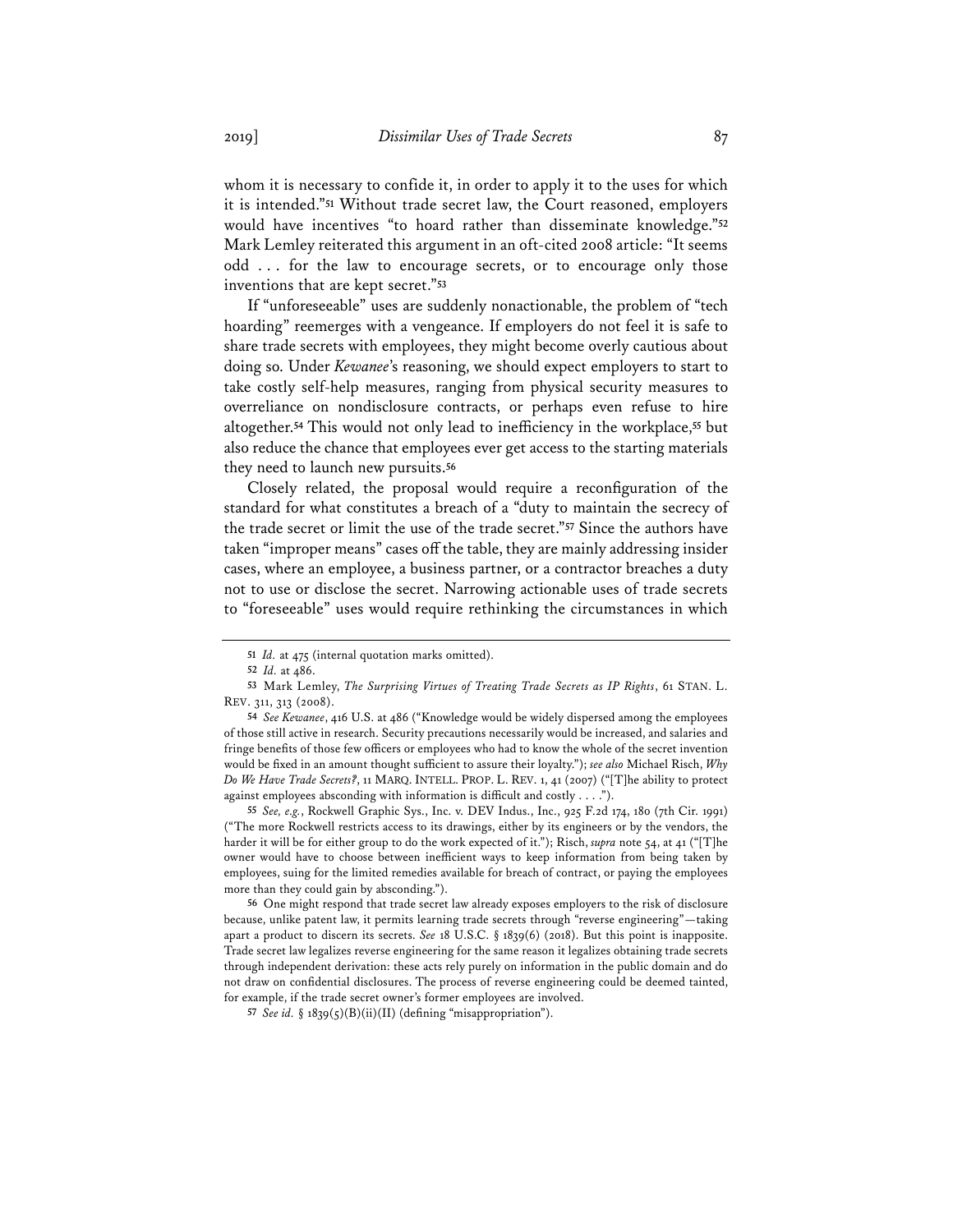whom it is necessary to confide it, in order to apply it to the uses for which it is intended."**<sup>51</sup>** Without trade secret law, the Court reasoned, employers would have incentives "to hoard rather than disseminate knowledge."**<sup>52</sup>** Mark Lemley reiterated this argument in an oft-cited 2008 article: "It seems odd . . . for the law to encourage secrets, or to encourage only those inventions that are kept secret."**<sup>53</sup>**

If "unforeseeable" uses are suddenly nonactionable, the problem of "tech hoarding" reemerges with a vengeance. If employers do not feel it is safe to share trade secrets with employees, they might become overly cautious about doing so. Under *Kewanee*'s reasoning, we should expect employers to start to take costly self-help measures, ranging from physical security measures to overreliance on nondisclosure contracts, or perhaps even refuse to hire altogether.**<sup>54</sup>** This would not only lead to inefficiency in the workplace,**<sup>55</sup>** but also reduce the chance that employees ever get access to the starting materials they need to launch new pursuits.**<sup>56</sup>**

Closely related, the proposal would require a reconfiguration of the standard for what constitutes a breach of a "duty to maintain the secrecy of the trade secret or limit the use of the trade secret."**<sup>57</sup>** Since the authors have taken "improper means" cases off the table, they are mainly addressing insider cases, where an employee, a business partner, or a contractor breaches a duty not to use or disclose the secret. Narrowing actionable uses of trade secrets to "foreseeable" uses would require rethinking the circumstances in which

**<sup>51</sup>** *Id.* at 475 (internal quotation marks omitted).

**<sup>52</sup>** *Id.* at 486.

**<sup>53</sup>** Mark Lemley, *The Surprising Virtues of Treating Trade Secrets as IP Rights*, 61 STAN. L. REV. 311, 313 (2008).

**<sup>54</sup>** *See Kewanee*, 416 U.S. at 486 ("Knowledge would be widely dispersed among the employees of those still active in research. Security precautions necessarily would be increased, and salaries and fringe benefits of those few officers or employees who had to know the whole of the secret invention would be fixed in an amount thought sufficient to assure their loyalty."); *see also* Michael Risch, *Why Do We Have Trade Secrets?*, 11 MARQ. INTELL. PROP. L. REV. 1, 41 (2007) ("[T]he ability to protect against employees absconding with information is difficult and costly . . . .").

**<sup>55</sup>** *See, e.g.*, Rockwell Graphic Sys., Inc. v. DEV Indus., Inc., 925 F.2d 174, 180 (7th Cir. 1991) ("The more Rockwell restricts access to its drawings, either by its engineers or by the vendors, the harder it will be for either group to do the work expected of it."); Risch, *supra* note 54, at 41 ("[T]he owner would have to choose between inefficient ways to keep information from being taken by employees, suing for the limited remedies available for breach of contract, or paying the employees more than they could gain by absconding.").

**<sup>56</sup>** One might respond that trade secret law already exposes employers to the risk of disclosure because, unlike patent law, it permits learning trade secrets through "reverse engineering"—taking apart a product to discern its secrets. *See* 18 U.S.C. § 1839(6) (2018). But this point is inapposite. Trade secret law legalizes reverse engineering for the same reason it legalizes obtaining trade secrets through independent derivation: these acts rely purely on information in the public domain and do not draw on confidential disclosures. The process of reverse engineering could be deemed tainted, for example, if the trade secret owner's former employees are involved.

**<sup>57</sup>** *See id.* § 1839(5)(B)(ii)(II) (defining "misappropriation").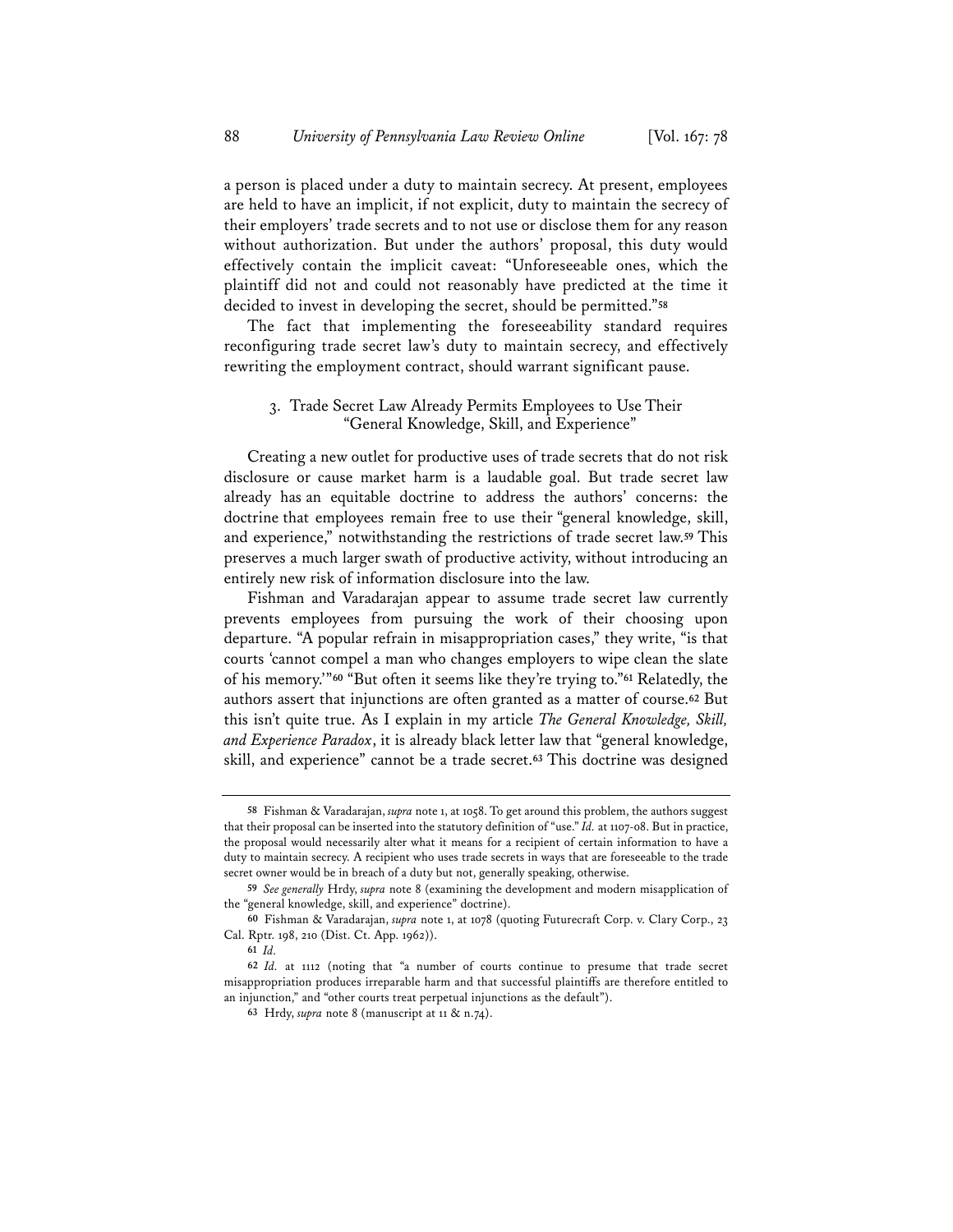a person is placed under a duty to maintain secrecy. At present, employees are held to have an implicit, if not explicit, duty to maintain the secrecy of their employers' trade secrets and to not use or disclose them for any reason without authorization. But under the authors' proposal, this duty would effectively contain the implicit caveat: "Unforeseeable ones, which the plaintiff did not and could not reasonably have predicted at the time it decided to invest in developing the secret, should be permitted."**<sup>58</sup>**

The fact that implementing the foreseeability standard requires reconfiguring trade secret law's duty to maintain secrecy, and effectively rewriting the employment contract, should warrant significant pause.

## 3. Trade Secret Law Already Permits Employees to Use Their "General Knowledge, Skill, and Experience"

Creating a new outlet for productive uses of trade secrets that do not risk disclosure or cause market harm is a laudable goal. But trade secret law already has an equitable doctrine to address the authors' concerns: the doctrine that employees remain free to use their "general knowledge, skill, and experience," notwithstanding the restrictions of trade secret law.**<sup>59</sup>** This preserves a much larger swath of productive activity, without introducing an entirely new risk of information disclosure into the law.

Fishman and Varadarajan appear to assume trade secret law currently prevents employees from pursuing the work of their choosing upon departure. "A popular refrain in misappropriation cases," they write, "is that courts 'cannot compel a man who changes employers to wipe clean the slate of his memory.'"**<sup>60</sup>** "But often it seems like they're trying to."**<sup>61</sup>** Relatedly, the authors assert that injunctions are often granted as a matter of course.**<sup>62</sup>** But this isn't quite true. As I explain in my article *The General Knowledge, Skill, and Experience Paradox*, it is already black letter law that "general knowledge, skill, and experience" cannot be a trade secret.**<sup>63</sup>** This doctrine was designed

**<sup>58</sup>** Fishman & Varadarajan, *supra* note 1, at 1058. To get around this problem, the authors suggest that their proposal can be inserted into the statutory definition of "use." *Id.* at 1107-08. But in practice, the proposal would necessarily alter what it means for a recipient of certain information to have a duty to maintain secrecy. A recipient who uses trade secrets in ways that are foreseeable to the trade secret owner would be in breach of a duty but not, generally speaking, otherwise.

**<sup>59</sup>** *See generally* Hrdy, *supra* note 8 (examining the development and modern misapplication of the "general knowledge, skill, and experience" doctrine).

**<sup>60</sup>** Fishman & Varadarajan, *supra* note 1, at 1078 (quoting Futurecraft Corp. v. Clary Corp., 23 Cal. Rptr. 198, 210 (Dist. Ct. App. 1962)).

**<sup>61</sup>** *Id.*

**<sup>62</sup>** *Id.* at 1112 (noting that "a number of courts continue to presume that trade secret misappropriation produces irreparable harm and that successful plaintiffs are therefore entitled to an injunction," and "other courts treat perpetual injunctions as the default").

**<sup>63</sup>** Hrdy, *supra* note 8 (manuscript at 11 & n.74).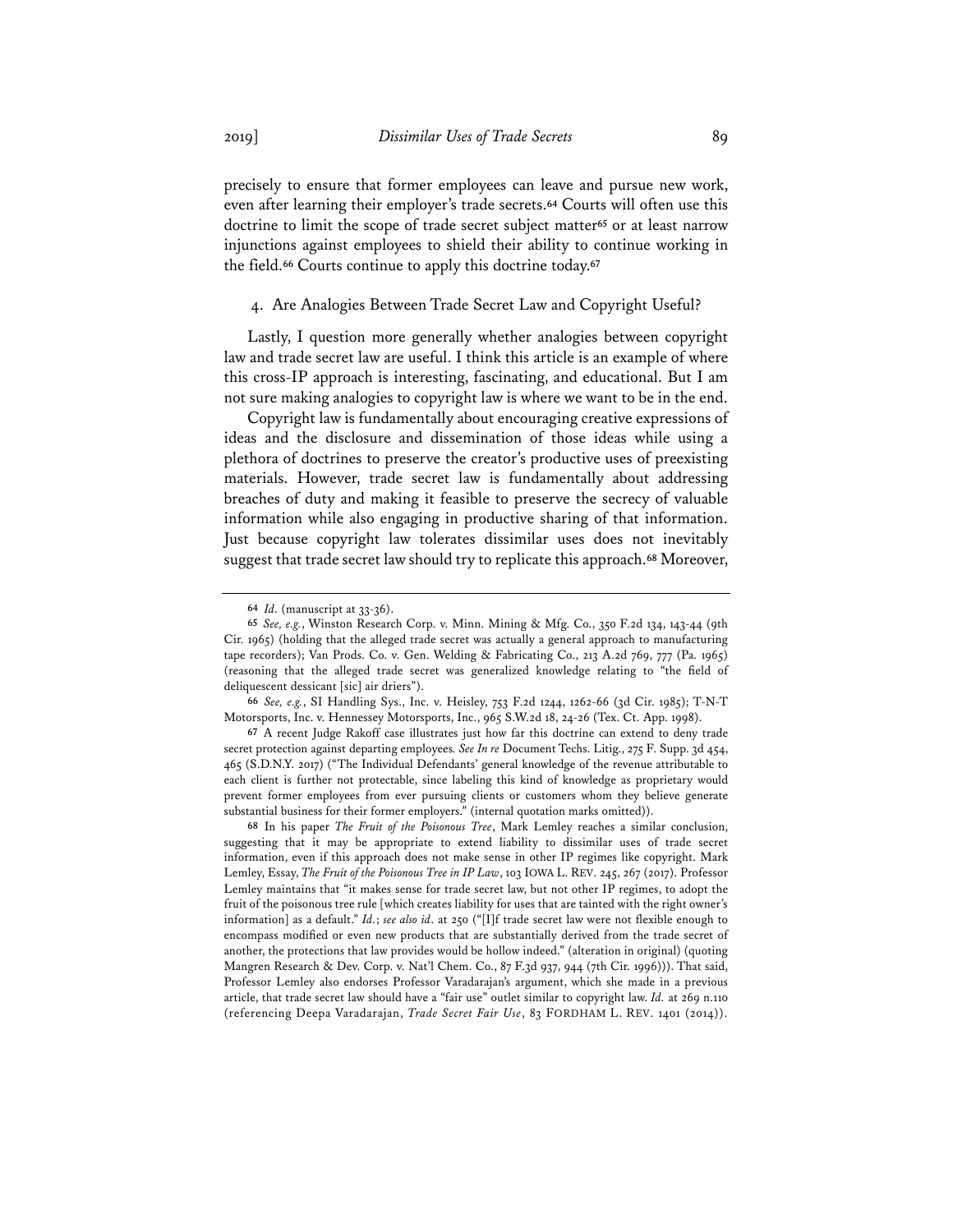precisely to ensure that former employees can leave and pursue new work, even after learning their employer's trade secrets.**<sup>64</sup>** Courts will often use this doctrine to limit the scope of trade secret subject matter**<sup>65</sup>** or at least narrow injunctions against employees to shield their ability to continue working in the field.**<sup>66</sup>** Courts continue to apply this doctrine today.**<sup>67</sup>**

#### 4. Are Analogies Between Trade Secret Law and Copyright Useful?

Lastly, I question more generally whether analogies between copyright law and trade secret law are useful. I think this article is an example of where this cross-IP approach is interesting, fascinating, and educational. But I am not sure making analogies to copyright law is where we want to be in the end.

Copyright law is fundamentally about encouraging creative expressions of ideas and the disclosure and dissemination of those ideas while using a plethora of doctrines to preserve the creator's productive uses of preexisting materials. However, trade secret law is fundamentally about addressing breaches of duty and making it feasible to preserve the secrecy of valuable information while also engaging in productive sharing of that information. Just because copyright law tolerates dissimilar uses does not inevitably suggest that trade secret law should try to replicate this approach.**<sup>68</sup>** Moreover,

**<sup>64</sup>** *Id*. (manuscript at 33-36).

**<sup>65</sup>** *See, e.g.*, Winston Research Corp. v. Minn. Mining & Mfg. Co., 350 F.2d 134, 143-44 (9th Cir. 1965) (holding that the alleged trade secret was actually a general approach to manufacturing tape recorders); Van Prods. Co. v. Gen. Welding & Fabricating Co., 213 A.2d 769, 777 (Pa. 1965) (reasoning that the alleged trade secret was generalized knowledge relating to "the field of deliquescent dessicant [sic] air driers").

**<sup>66</sup>** *See, e.g.*, SI Handling Sys., Inc. v. Heisley, 753 F.2d 1244, 1262-66 (3d Cir. 1985); T-N-T Motorsports, Inc. v. Hennessey Motorsports, Inc., 965 S.W.2d 18, 24-26 (Tex. Ct. App. 1998).

**<sup>67</sup>** A recent Judge Rakoff case illustrates just how far this doctrine can extend to deny trade secret protection against departing employees*. See In re* Document Techs. Litig., 275 F. Supp. 3d 454, 465 (S.D.N.Y. 2017) ("The Individual Defendants' general knowledge of the revenue attributable to each client is further not protectable, since labeling this kind of knowledge as proprietary would prevent former employees from ever pursuing clients or customers whom they believe generate substantial business for their former employers." (internal quotation marks omitted)).

**<sup>68</sup>** In his paper *The Fruit of the Poisonous Tree*, Mark Lemley reaches a similar conclusion, suggesting that it may be appropriate to extend liability to dissimilar uses of trade secret information, even if this approach does not make sense in other IP regimes like copyright. Mark Lemley, Essay, *The Fruit of the Poisonous Tree in IP Law*, 103 IOWA L. REV. 245, 267 (2017). Professor Lemley maintains that "it makes sense for trade secret law, but not other IP regimes, to adopt the fruit of the poisonous tree rule [which creates liability for uses that are tainted with the right owner's information] as a default." *Id.*; *see also id*. at 250 ("[I]f trade secret law were not flexible enough to encompass modified or even new products that are substantially derived from the trade secret of another, the protections that law provides would be hollow indeed." (alteration in original) (quoting Mangren Research & Dev. Corp. v. Nat'l Chem. Co., 87 F.3d 937, 944 (7th Cir. 1996))). That said, Professor Lemley also endorses Professor Varadarajan's argument, which she made in a previous article, that trade secret law should have a "fair use" outlet similar to copyright law. *Id.* at 269 n.110 (referencing Deepa Varadarajan, *Trade Secret Fair Use*, 83 FORDHAM L. REV. 1401 (2014)).